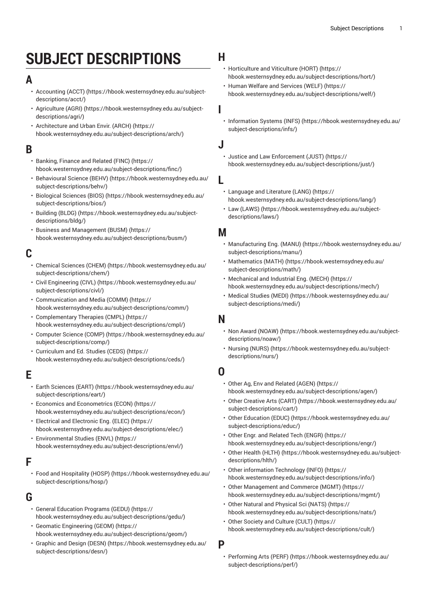# **SUBJECT DESCRIPTIONS**

## **A**

- [Accounting](https://hbook.westernsydney.edu.au/subject-descriptions/acct/) (ACCT) ([https://hbook.westernsydney.edu.au/subject](https://hbook.westernsydney.edu.au/subject-descriptions/acct/)[descriptions/acct/\)](https://hbook.westernsydney.edu.au/subject-descriptions/acct/)
- [Agriculture](https://hbook.westernsydney.edu.au/subject-descriptions/agri/) (AGRI) ([https://hbook.westernsydney.edu.au/subject](https://hbook.westernsydney.edu.au/subject-descriptions/agri/)[descriptions/agri/\)](https://hbook.westernsydney.edu.au/subject-descriptions/agri/)
- [Architecture](https://hbook.westernsydney.edu.au/subject-descriptions/arch/) and Urban Envir. (ARCH) ([https://](https://hbook.westernsydney.edu.au/subject-descriptions/arch/) [hbook.westernsydney.edu.au/subject-descriptions/arch/](https://hbook.westernsydney.edu.au/subject-descriptions/arch/))

#### **B**

- [Banking,](https://hbook.westernsydney.edu.au/subject-descriptions/finc/) Finance and Related (FINC) ([https://](https://hbook.westernsydney.edu.au/subject-descriptions/finc/) [hbook.westernsydney.edu.au/subject-descriptions/finc/\)](https://hbook.westernsydney.edu.au/subject-descriptions/finc/)
- [Behavioural](https://hbook.westernsydney.edu.au/subject-descriptions/behv/) Science (BEHV) [\(https://hbook.westernsydney.edu.au/](https://hbook.westernsydney.edu.au/subject-descriptions/behv/) [subject-descriptions/behv/](https://hbook.westernsydney.edu.au/subject-descriptions/behv/))
- [Biological Sciences \(BIOS\)](https://hbook.westernsydney.edu.au/subject-descriptions/bios/) ([https://hbook.westernsydney.edu.au/](https://hbook.westernsydney.edu.au/subject-descriptions/bios/) [subject-descriptions/bios/](https://hbook.westernsydney.edu.au/subject-descriptions/bios/))
- [Building \(BLDG\) \(https://hbook.westernsydney.edu.au/subject](https://hbook.westernsydney.edu.au/subject-descriptions/bldg/)[descriptions/bldg/\)](https://hbook.westernsydney.edu.au/subject-descriptions/bldg/)
- [Business and Management \(BUSM\)](https://hbook.westernsydney.edu.au/subject-descriptions/busm/) ([https://](https://hbook.westernsydney.edu.au/subject-descriptions/busm/) [hbook.westernsydney.edu.au/subject-descriptions/busm/\)](https://hbook.westernsydney.edu.au/subject-descriptions/busm/)

## **C**

- [Chemical Sciences \(CHEM\)](https://hbook.westernsydney.edu.au/subject-descriptions/chem/) ([https://hbook.westernsydney.edu.au/](https://hbook.westernsydney.edu.au/subject-descriptions/chem/) [subject-descriptions/chem/\)](https://hbook.westernsydney.edu.au/subject-descriptions/chem/)
- [Civil Engineering \(CIVL\) \(https://hbook.westernsydney.edu.au/](https://hbook.westernsydney.edu.au/subject-descriptions/civl/) [subject-descriptions/civl/](https://hbook.westernsydney.edu.au/subject-descriptions/civl/))
- [Communication and Media \(COMM\) \(https://](https://hbook.westernsydney.edu.au/subject-descriptions/comm/) [hbook.westernsydney.edu.au/subject-descriptions/comm/](https://hbook.westernsydney.edu.au/subject-descriptions/comm/))
- [Complementary](https://hbook.westernsydney.edu.au/subject-descriptions/cmpl/) Therapies (CMPL) [\(https://](https://hbook.westernsydney.edu.au/subject-descriptions/cmpl/) [hbook.westernsydney.edu.au/subject-descriptions/cmpl/](https://hbook.westernsydney.edu.au/subject-descriptions/cmpl/))
- [Computer Science \(COMP\) \(https://hbook.westernsydney.edu.au/](https://hbook.westernsydney.edu.au/subject-descriptions/comp/) [subject-descriptions/comp/](https://hbook.westernsydney.edu.au/subject-descriptions/comp/))
- [Curriculum](https://hbook.westernsydney.edu.au/subject-descriptions/ceds/) and Ed. Studies (CEDS) [\(https://](https://hbook.westernsydney.edu.au/subject-descriptions/ceds/) [hbook.westernsydney.edu.au/subject-descriptions/ceds/\)](https://hbook.westernsydney.edu.au/subject-descriptions/ceds/)

## **E**

- Earth [Sciences](https://hbook.westernsydney.edu.au/subject-descriptions/eart/) (EART) [\(https://hbook.westernsydney.edu.au/](https://hbook.westernsydney.edu.au/subject-descriptions/eart/) [subject-descriptions/eart/](https://hbook.westernsydney.edu.au/subject-descriptions/eart/))
- Economics and [Econometrics](https://hbook.westernsydney.edu.au/subject-descriptions/econ/) (ECON) ([https://](https://hbook.westernsydney.edu.au/subject-descriptions/econ/) [hbook.westernsydney.edu.au/subject-descriptions/econ/](https://hbook.westernsydney.edu.au/subject-descriptions/econ/))
- Electrical and [Electronic](https://hbook.westernsydney.edu.au/subject-descriptions/elec/) Eng. (ELEC) [\(https://](https://hbook.westernsydney.edu.au/subject-descriptions/elec/) [hbook.westernsydney.edu.au/subject-descriptions/elec/](https://hbook.westernsydney.edu.au/subject-descriptions/elec/))
- [Environmental](https://hbook.westernsydney.edu.au/subject-descriptions/envl/) Studies (ENVL) ([https://](https://hbook.westernsydney.edu.au/subject-descriptions/envl/) [hbook.westernsydney.edu.au/subject-descriptions/envl/](https://hbook.westernsydney.edu.au/subject-descriptions/envl/))

### **F**

• Food and [Hospitality](https://hbook.westernsydney.edu.au/subject-descriptions/hosp/) (HOSP) ([https://hbook.westernsydney.edu.au/](https://hbook.westernsydney.edu.au/subject-descriptions/hosp/) [subject-descriptions/hosp/\)](https://hbook.westernsydney.edu.au/subject-descriptions/hosp/)

## **G**

- General [Education](https://hbook.westernsydney.edu.au/subject-descriptions/gedu/) Programs (GEDU) ([https://](https://hbook.westernsydney.edu.au/subject-descriptions/gedu/) [hbook.westernsydney.edu.au/subject-descriptions/gedu/](https://hbook.westernsydney.edu.au/subject-descriptions/gedu/))
- [Geomatic Engineering \(GEOM\)](https://hbook.westernsydney.edu.au/subject-descriptions/geom/) ([https://](https://hbook.westernsydney.edu.au/subject-descriptions/geom/) [hbook.westernsydney.edu.au/subject-descriptions/geom/\)](https://hbook.westernsydney.edu.au/subject-descriptions/geom/)
- [Graphic and Design \(DESN\)](https://hbook.westernsydney.edu.au/subject-descriptions/desn/) ([https://hbook.westernsydney.edu.au/](https://hbook.westernsydney.edu.au/subject-descriptions/desn/) [subject-descriptions/desn/](https://hbook.westernsydney.edu.au/subject-descriptions/desn/))

#### **H**

- [Horticulture](https://hbook.westernsydney.edu.au/subject-descriptions/hort/) and Viticulture (HORT) [\(https://](https://hbook.westernsydney.edu.au/subject-descriptions/hort/) [hbook.westernsydney.edu.au/subject-descriptions/hort/](https://hbook.westernsydney.edu.au/subject-descriptions/hort/))
- Human Welfare and [Services](https://hbook.westernsydney.edu.au/subject-descriptions/welf/) (WELF) [\(https://](https://hbook.westernsydney.edu.au/subject-descriptions/welf/) [hbook.westernsydney.edu.au/subject-descriptions/welf/\)](https://hbook.westernsydney.edu.au/subject-descriptions/welf/)
- **I**
	- [Information Systems \(INFS\) \(https://hbook.westernsydney.edu.au/](https://hbook.westernsydney.edu.au/subject-descriptions/infs/) [subject-descriptions/infs/\)](https://hbook.westernsydney.edu.au/subject-descriptions/infs/)

#### **J**

- Justice and Law [Enforcement](https://hbook.westernsydney.edu.au/subject-descriptions/just/) (JUST) [\(https://](https://hbook.westernsydney.edu.au/subject-descriptions/just/) [hbook.westernsydney.edu.au/subject-descriptions/just/](https://hbook.westernsydney.edu.au/subject-descriptions/just/))
- **L**
	- [Language](https://hbook.westernsydney.edu.au/subject-descriptions/lang/) and Literature (LANG) [\(https://](https://hbook.westernsydney.edu.au/subject-descriptions/lang/) [hbook.westernsydney.edu.au/subject-descriptions/lang/](https://hbook.westernsydney.edu.au/subject-descriptions/lang/))
	- Law [\(LAWS\)](https://hbook.westernsydney.edu.au/subject-descriptions/laws/) ([https://hbook.westernsydney.edu.au/subject](https://hbook.westernsydney.edu.au/subject-descriptions/laws/)[descriptions/laws/\)](https://hbook.westernsydney.edu.au/subject-descriptions/laws/)

#### **M**

- [Manufacturing](https://hbook.westernsydney.edu.au/subject-descriptions/manu/) Eng. (MANU) [\(https://hbook.westernsydney.edu.au/](https://hbook.westernsydney.edu.au/subject-descriptions/manu/) [subject-descriptions/manu/\)](https://hbook.westernsydney.edu.au/subject-descriptions/manu/)
- [Mathematics](https://hbook.westernsydney.edu.au/subject-descriptions/math/) (MATH) [\(https://hbook.westernsydney.edu.au/](https://hbook.westernsydney.edu.au/subject-descriptions/math/) [subject-descriptions/math/\)](https://hbook.westernsydney.edu.au/subject-descriptions/math/)
- [Mechanical and Industrial Eng. \(MECH\)](https://hbook.westernsydney.edu.au/subject-descriptions/mech/) ([https://](https://hbook.westernsydney.edu.au/subject-descriptions/mech/) [hbook.westernsydney.edu.au/subject-descriptions/mech/\)](https://hbook.westernsydney.edu.au/subject-descriptions/mech/)
- [Medical Studies \(MEDI\)](https://hbook.westernsydney.edu.au/subject-descriptions/medi/) [\(https://hbook.westernsydney.edu.au/](https://hbook.westernsydney.edu.au/subject-descriptions/medi/) [subject-descriptions/medi/\)](https://hbook.westernsydney.edu.au/subject-descriptions/medi/)

### **N**

- Non Award [\(NOAW\)](https://hbook.westernsydney.edu.au/subject-descriptions/noaw/) ([https://hbook.westernsydney.edu.au/subject](https://hbook.westernsydney.edu.au/subject-descriptions/noaw/)[descriptions/noaw/\)](https://hbook.westernsydney.edu.au/subject-descriptions/noaw/)
- [Nursing \(NURS\)](https://hbook.westernsydney.edu.au/subject-descriptions/nurs/) ([https://hbook.westernsydney.edu.au/subject](https://hbook.westernsydney.edu.au/subject-descriptions/nurs/)[descriptions/nurs/](https://hbook.westernsydney.edu.au/subject-descriptions/nurs/))

## **O**

- [Other Ag, Env and Related \(AGEN\) \(https://](https://hbook.westernsydney.edu.au/subject-descriptions/agen/) [hbook.westernsydney.edu.au/subject-descriptions/agen/\)](https://hbook.westernsydney.edu.au/subject-descriptions/agen/)
- Other [Creative](https://hbook.westernsydney.edu.au/subject-descriptions/cart/) Arts (CART) [\(https://hbook.westernsydney.edu.au/](https://hbook.westernsydney.edu.au/subject-descriptions/cart/) [subject-descriptions/cart/](https://hbook.westernsydney.edu.au/subject-descriptions/cart/))
- Other [Education](https://hbook.westernsydney.edu.au/subject-descriptions/educ/) (EDUC) [\(https://hbook.westernsydney.edu.au/](https://hbook.westernsydney.edu.au/subject-descriptions/educ/) [subject-descriptions/educ/\)](https://hbook.westernsydney.edu.au/subject-descriptions/educ/)
- Other Engr. and [Related](https://hbook.westernsydney.edu.au/subject-descriptions/engr/) Tech (ENGR) [\(https://](https://hbook.westernsydney.edu.au/subject-descriptions/engr/) [hbook.westernsydney.edu.au/subject-descriptions/engr/\)](https://hbook.westernsydney.edu.au/subject-descriptions/engr/)
- Other Health [\(HLTH\)](https://hbook.westernsydney.edu.au/subject-descriptions/hlth/) [\(https://hbook.westernsydney.edu.au/subject](https://hbook.westernsydney.edu.au/subject-descriptions/hlth/)[descriptions/hlth/](https://hbook.westernsydney.edu.au/subject-descriptions/hlth/))
- Other [information](https://hbook.westernsydney.edu.au/subject-descriptions/info/) Technology (INFO) [\(https://](https://hbook.westernsydney.edu.au/subject-descriptions/info/) [hbook.westernsydney.edu.au/subject-descriptions/info/\)](https://hbook.westernsydney.edu.au/subject-descriptions/info/)
- Other [Management](https://hbook.westernsydney.edu.au/subject-descriptions/mgmt/) and Commerce (MGMT) ([https://](https://hbook.westernsydney.edu.au/subject-descriptions/mgmt/) [hbook.westernsydney.edu.au/subject-descriptions/mgmt/](https://hbook.westernsydney.edu.au/subject-descriptions/mgmt/))
- Other Natural and [Physical](https://hbook.westernsydney.edu.au/subject-descriptions/nats/) Sci (NATS) [\(https://](https://hbook.westernsydney.edu.au/subject-descriptions/nats/) [hbook.westernsydney.edu.au/subject-descriptions/nats/\)](https://hbook.westernsydney.edu.au/subject-descriptions/nats/)
- Other [Society](https://hbook.westernsydney.edu.au/subject-descriptions/cult/) and Culture (CULT) ([https://](https://hbook.westernsydney.edu.au/subject-descriptions/cult/) [hbook.westernsydney.edu.au/subject-descriptions/cult/](https://hbook.westernsydney.edu.au/subject-descriptions/cult/))

#### **P**

• [Performing](https://hbook.westernsydney.edu.au/subject-descriptions/perf/) Arts (PERF) [\(https://hbook.westernsydney.edu.au/](https://hbook.westernsydney.edu.au/subject-descriptions/perf/) [subject-descriptions/perf/](https://hbook.westernsydney.edu.au/subject-descriptions/perf/))